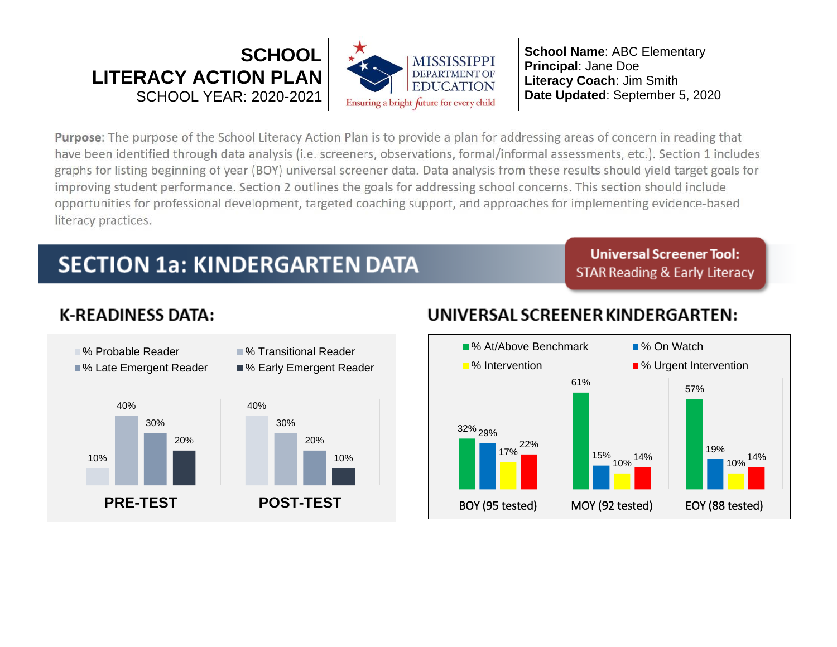

Purpose: The purpose of the School Literacy Action Plan is to provide a plan for addressing areas of concern in reading that have been identified through data analysis (i.e. screeners, observations, formal/informal assessments, etc.). Section 1 includes graphs for listing beginning of year (BOY) universal screener data. Data analysis from these results should yield target goals for improving student performance. Section 2 outlines the goals for addressing school concerns. This section should include opportunities for professional development, targeted coaching support, and approaches for implementing evidence-based literacy practices.

# **SECTION 1a: KINDERGARTEN DATA**

**Universal Screener Tool: STAR Reading & Early Literacy** 

# **K-READINESS DATA:**



## UNIVERSAL SCREENER KINDERGARTEN:

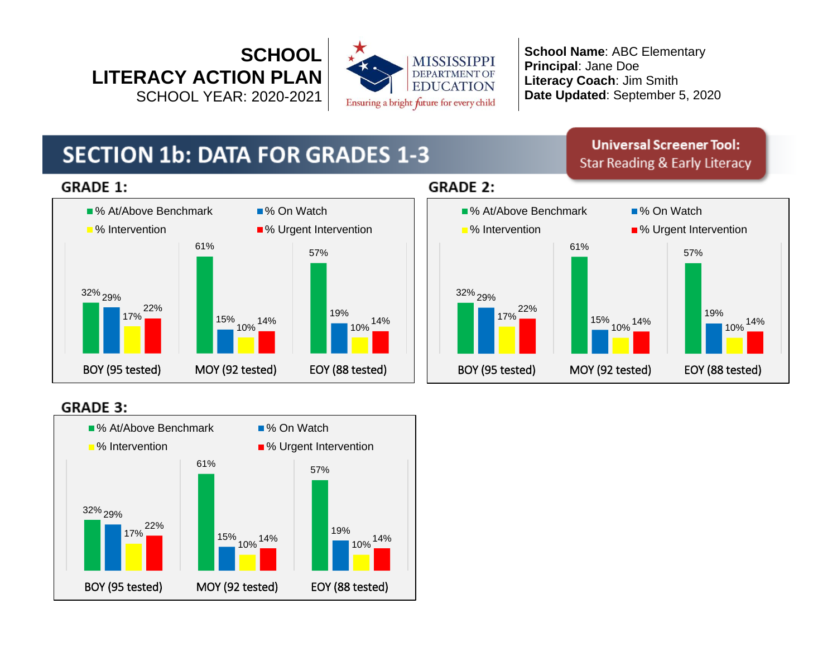



# **SECTION 1b: DATA FOR GRADES 1-3**

**Universal Screener Tool: Star Reading & Early Literacy** 

### **GRADE 1:**



## **GRADE 2:**



### **GRADE 3:**

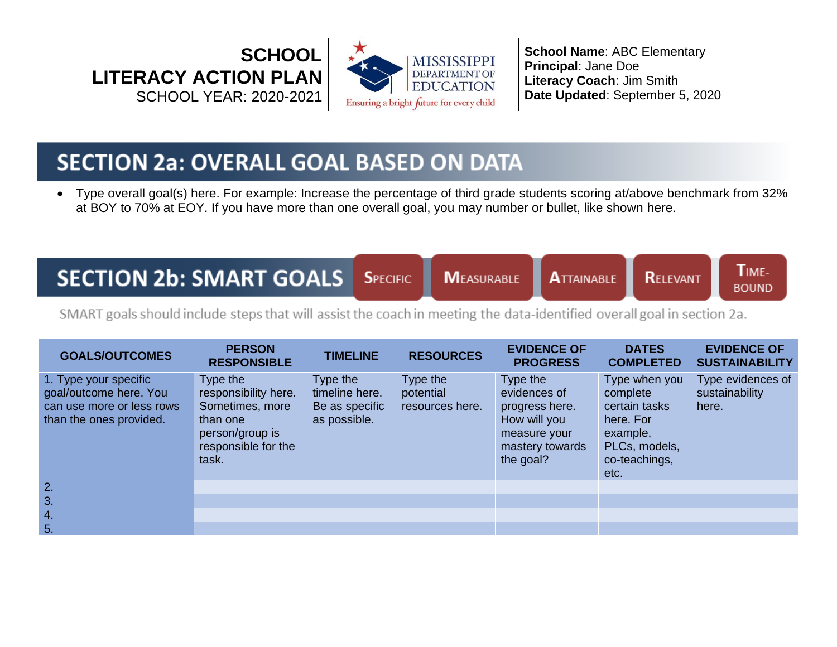



# **SECTION 2a: OVERALL GOAL BASED ON DATA**

• Type overall goal(s) here. For example: Increase the percentage of third grade students scoring at/above benchmark from 32% at BOY to 70% at EOY. If you have more than one overall goal, you may number or bullet, like shown here.

# **SECTION 2b: SMART GOALS**

**SPECIFIC MEASURABLE** 

**ATTAINABLE** 

TIME-**RELEVANT BOUND** 

SMART goals should include steps that will assist the coach in meeting the data-identified overall goal in section 2a.

| <b>GOALS/OUTCOMES</b>                                                                                   | <b>PERSON</b><br><b>RESPONSIBLE</b>                                                                                | <b>TIMELINE</b>                                              | <b>RESOURCES</b>                         | <b>EVIDENCE OF</b><br><b>PROGRESS</b>                                                                      | <b>DATES</b><br><b>COMPLETED</b>                                                                              | <b>EVIDENCE OF</b><br><b>SUSTAINABILITY</b>  |
|---------------------------------------------------------------------------------------------------------|--------------------------------------------------------------------------------------------------------------------|--------------------------------------------------------------|------------------------------------------|------------------------------------------------------------------------------------------------------------|---------------------------------------------------------------------------------------------------------------|----------------------------------------------|
| 1. Type your specific<br>goal/outcome here. You<br>can use more or less rows<br>than the ones provided. | Type the<br>responsibility here.<br>Sometimes, more<br>than one<br>person/group is<br>responsible for the<br>task. | Type the<br>timeline here.<br>Be as specific<br>as possible. | Type the<br>potential<br>resources here. | Type the<br>evidences of<br>progress here.<br>How will you<br>measure your<br>mastery towards<br>the goal? | Type when you<br>complete<br>certain tasks<br>here. For<br>example,<br>PLCs, models,<br>co-teachings,<br>etc. | Type evidences of<br>sustainability<br>here. |
| 2.                                                                                                      |                                                                                                                    |                                                              |                                          |                                                                                                            |                                                                                                               |                                              |
| 3.                                                                                                      |                                                                                                                    |                                                              |                                          |                                                                                                            |                                                                                                               |                                              |
| 4.                                                                                                      |                                                                                                                    |                                                              |                                          |                                                                                                            |                                                                                                               |                                              |
| 5.                                                                                                      |                                                                                                                    |                                                              |                                          |                                                                                                            |                                                                                                               |                                              |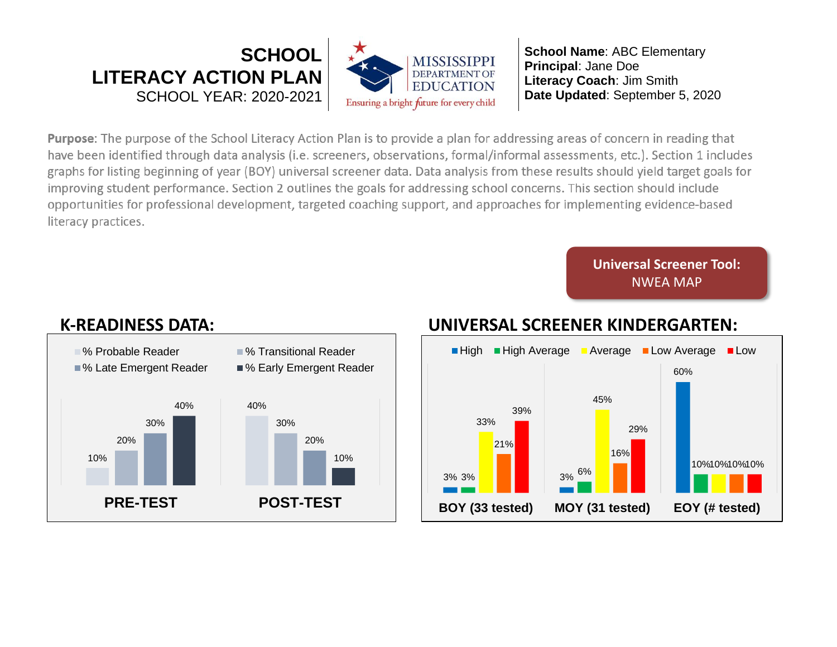

**Purpose:** The purpose of the School Literacy Action Plan is to provide a plan for addressing areas of concern in reading that have been identified through data analysis (i.e. screeners, observations, formal/informal assessments, etc.). Section 1 includes graphs for listing beginning of year (BOY) universal screener data. Data analysis from these results should yield target goals for improving student performance. Section 2 outlines the goals for addressing school concerns. This section should include opportunities for professional development, targeted coaching support, and approaches for implementing evidence-based literacy practices.

> **Universal Screener Tool:** NWEA MAP



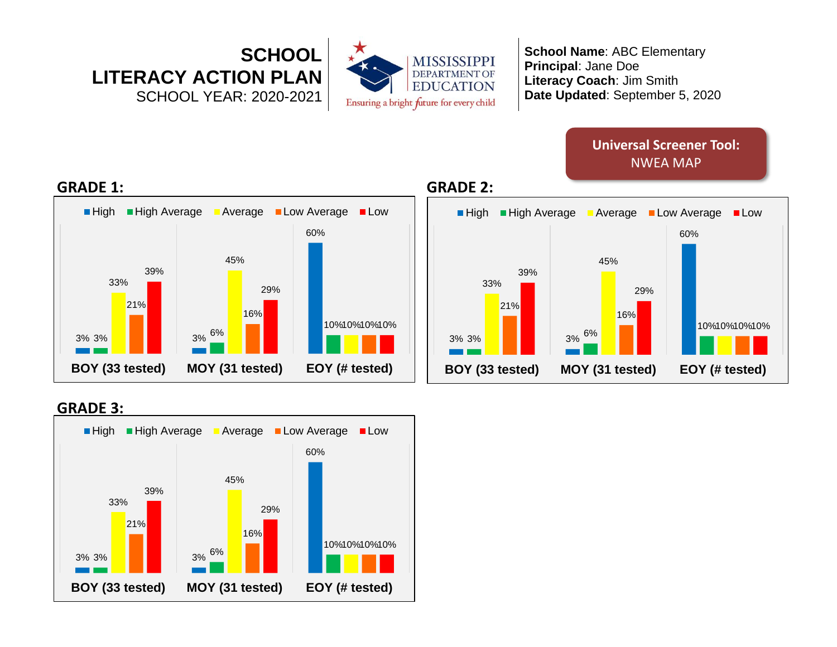

## **Universal Screener Tool:** NWEA MAP





### **GRADE 3:**

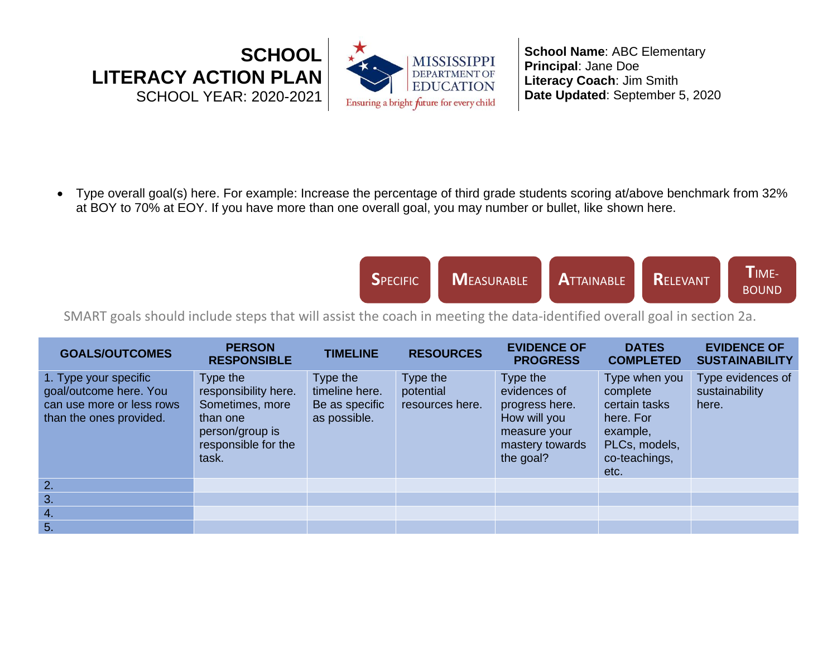

• Type overall goal(s) here. For example: Increase the percentage of third grade students scoring at/above benchmark from 32% at BOY to 70% at EOY. If you have more than one overall goal, you may number or bullet, like shown here.

| <b>SPECIFIC</b> | MEASURABLE <b>A</b> TTAINABLE RELEVANT<br>- 1 |  |  | IME-<br><b>BOUND</b> |
|-----------------|-----------------------------------------------|--|--|----------------------|
|-----------------|-----------------------------------------------|--|--|----------------------|

SMART goals should include steps that will assist the coach in meeting the data-identified overall goal in section 2a.

| <b>GOALS/OUTCOMES</b>                                                                                   | <b>PERSON</b><br><b>RESPONSIBLE</b>                                                                                | <b>TIMELINE</b>                                              | <b>RESOURCES</b>                         | <b>EVIDENCE OF</b><br><b>PROGRESS</b>                                                                      | <b>DATES</b><br><b>COMPLETED</b>                                                                              | <b>EVIDENCE OF</b><br><b>SUSTAINABILITY</b>  |
|---------------------------------------------------------------------------------------------------------|--------------------------------------------------------------------------------------------------------------------|--------------------------------------------------------------|------------------------------------------|------------------------------------------------------------------------------------------------------------|---------------------------------------------------------------------------------------------------------------|----------------------------------------------|
| 1. Type your specific<br>goal/outcome here. You<br>can use more or less rows<br>than the ones provided. | Type the<br>responsibility here.<br>Sometimes, more<br>than one<br>person/group is<br>responsible for the<br>task. | Type the<br>timeline here.<br>Be as specific<br>as possible. | Type the<br>potential<br>resources here. | Type the<br>evidences of<br>progress here.<br>How will you<br>measure your<br>mastery towards<br>the goal? | Type when you<br>complete<br>certain tasks<br>here. For<br>example,<br>PLCs, models,<br>co-teachings,<br>etc. | Type evidences of<br>sustainability<br>here. |
| 2.                                                                                                      |                                                                                                                    |                                                              |                                          |                                                                                                            |                                                                                                               |                                              |
| 3.                                                                                                      |                                                                                                                    |                                                              |                                          |                                                                                                            |                                                                                                               |                                              |
| 4.                                                                                                      |                                                                                                                    |                                                              |                                          |                                                                                                            |                                                                                                               |                                              |
| 5.                                                                                                      |                                                                                                                    |                                                              |                                          |                                                                                                            |                                                                                                               |                                              |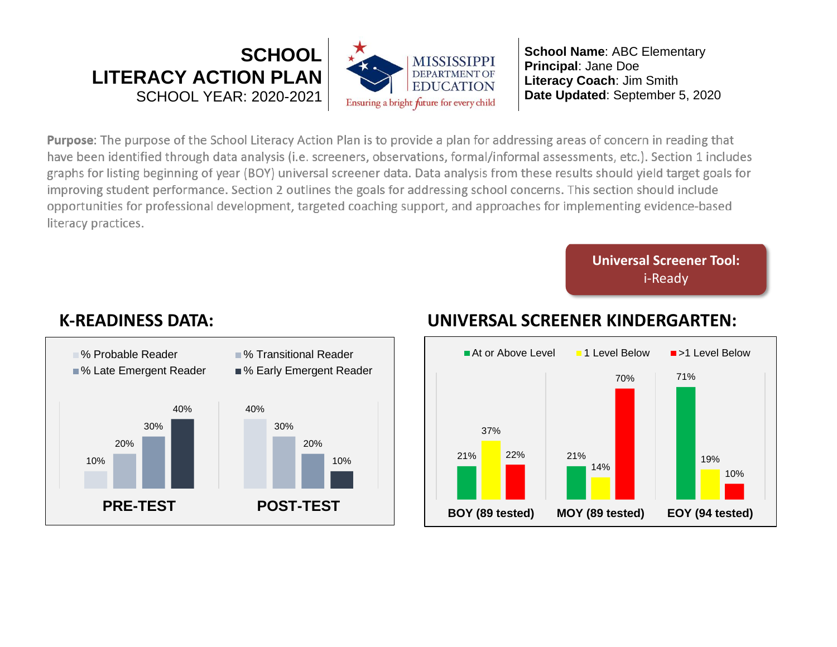

**Purpose**: The purpose of the School Literacy Action Plan is to provide a plan for addressing areas of concern in reading that<br>have been identified through data analysis (i.e. screeners, observations, formal/informal asses graphs for listing beginning of year (BOY) universal screener data. Data analysis from these results should yield target goals for improving student performance. Section 2 outlines the goals for addressing school concerns. This section should include opportunities for professional development, targeted coaching support, and approaches for implementing evidence-based include opportunities for professional development, targeted coaching support, and approaches for implementing evidence- $\mathbf{b}$ 

> **Universal Screener Tool:** i-Ready



## **K-READINESS DATA: UNIVERSAL SCREENER KINDERGARTEN:**

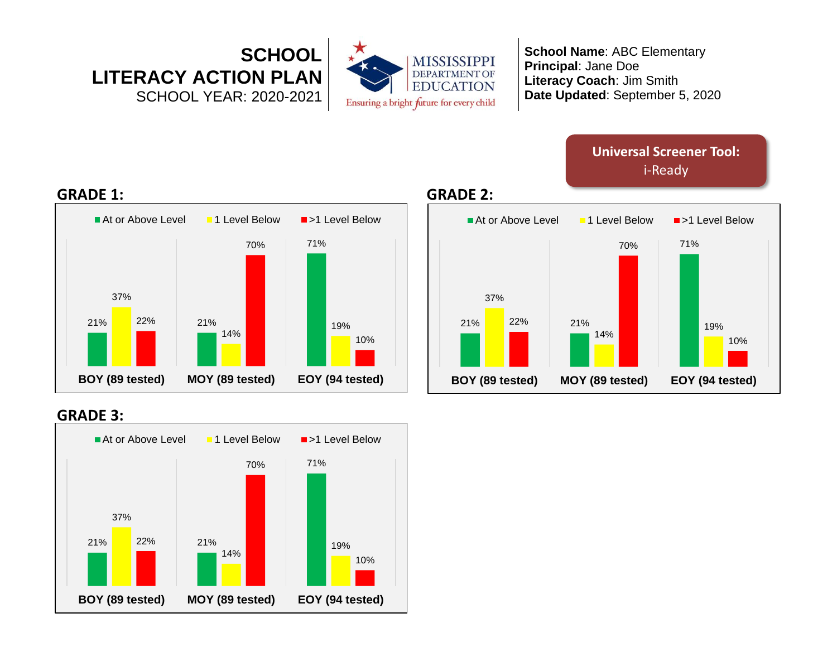

> **Universal Screener Tool:** i-Ready



### **GRADE 3:**